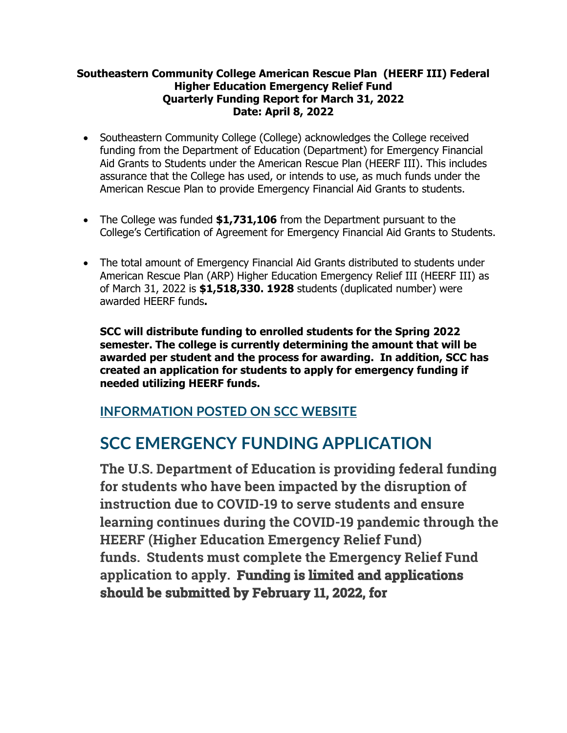## **Southeastern Community College American Rescue Plan (HEERF III) Federal Higher Education Emergency Relief Fund Quarterly Funding Report for March 31, 2022 Date: April 8, 2022**

- Southeastern Community College (College) acknowledges the College received funding from the Department of Education (Department) for Emergency Financial Aid Grants to Students under the American Rescue Plan (HEERF III). This includes assurance that the College has used, or intends to use, as much funds under the American Rescue Plan to provide Emergency Financial Aid Grants to students.
- The College was funded **\$1,731,106** from the Department pursuant to the College's Certification of Agreement for Emergency Financial Aid Grants to Students.
- The total amount of Emergency Financial Aid Grants distributed to students under American Rescue Plan (ARP) Higher Education Emergency Relief III (HEERF III) as of March 31, 2022 is **\$1,518,330. 1928** students (duplicated number) were awarded HEERF funds**.**

**SCC will distribute funding to enrolled students for the Spring 2022 semester. The college is currently determining the amount that will be awarded per student and the process for awarding. In addition, SCC has created an application for students to apply for emergency funding if needed utilizing HEERF funds.**

## **INFORMATION POSTED ON SCC WEBSITE**

## **SCC EMERGENCY FUNDING APPLICATION**

**The U.S. Department of Education is providing federal funding for students who have been impacted by the disruption of instruction due to COVID-19 to serve students and ensure learning continues during the COVID-19 pandemic through the HEERF (Higher Education Emergency Relief Fund) funds. Students must complete the Emergency Relief Fund application to apply. Funding is limited and applications should be submitted by February 11, 2022, for**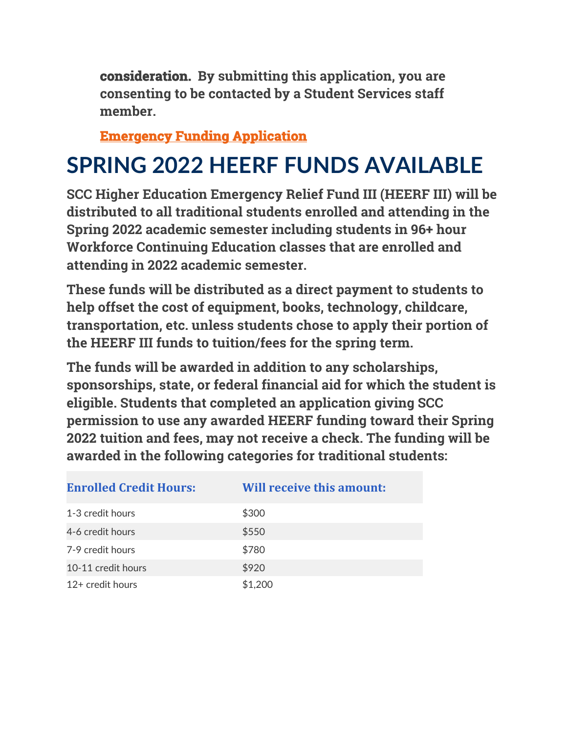**consideration. By submitting this application, you are consenting to be contacted by a Student Services staff member.**

**Emergency Funding Application** 

## **SPRING 2022 HEERF FUNDS AVAILABLE**

**SCC Higher Education Emergency Relief Fund III (HEERF III) will be distributed to all traditional students enrolled and attending in the Spring 2022 academic semester including students in 96+ hour Workforce Continuing Education classes that are enrolled and attending in 2022 academic semester.**

**These funds will be distributed as a direct payment to students to help offset the cost of equipment, books, technology, childcare, transportation, etc. unless students chose to apply their portion of the HEERF III funds to tuition/fees for the spring term.**

**The funds will be awarded in addition to any scholarships, sponsorships, state, or federal financial aid for which the student is eligible. Students that completed an application giving SCC permission to use any awarded HEERF funding toward their Spring 2022 tuition and fees, may not receive a check. The funding will be awarded in the following categories for traditional students:**

| <b>Enrolled Credit Hours:</b> | <b>Will receive this amount:</b> |
|-------------------------------|----------------------------------|
| 1-3 credit hours              | \$300                            |
| 4-6 credit hours              | \$550                            |
| 7-9 credit hours              | \$780                            |
| 10-11 credit hours            | \$920                            |
| 12+ credit hours              | \$1,200                          |